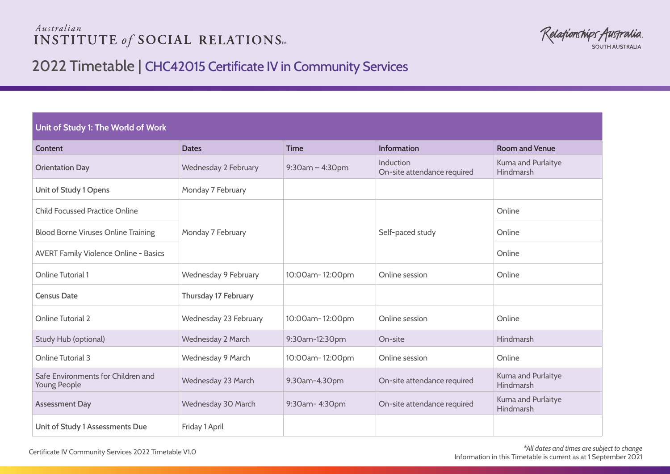## Australian **INSTITUTE of SOCIAL RELATIONS**

Relationships Australia **SOUTH AUSTRALIA** 

# 2022 Timetable | CHC42015 Certificate IV in Community Services

### **Unit of Study 1: The World of Work**

| Content                                            | <b>Dates</b>          | <b>Time</b>        | Information                              | <b>Room and Venue</b>           |
|----------------------------------------------------|-----------------------|--------------------|------------------------------------------|---------------------------------|
| <b>Orientation Day</b>                             | Wednesday 2 February  | $9:30$ am - 4:30pm | Induction<br>On-site attendance required | Kuma and Purlaitye<br>Hindmarsh |
| Unit of Study 1 Opens                              | Monday 7 February     |                    |                                          |                                 |
| <b>Child Focussed Practice Online</b>              |                       |                    |                                          | Online                          |
| <b>Blood Borne Viruses Online Training</b>         | Monday 7 February     |                    | Self-paced study                         | Online                          |
| <b>AVERT Family Violence Online - Basics</b>       |                       |                    |                                          | Online                          |
| <b>Online Tutorial 1</b>                           | Wednesday 9 February  | 10:00am-12:00pm    | Online session                           | Online                          |
| <b>Census Date</b>                                 | Thursday 17 February  |                    |                                          |                                 |
| <b>Online Tutorial 2</b>                           | Wednesday 23 February | 10:00am-12:00pm    | Online session                           | Online                          |
| Study Hub (optional)                               | Wednesday 2 March     | 9:30am-12:30pm     | On-site                                  | Hindmarsh                       |
| <b>Online Tutorial 3</b>                           | Wednesday 9 March     | 10:00am-12:00pm    | Online session                           | Online                          |
| Safe Environments for Children and<br>Young People | Wednesday 23 March    | 9.30am-4.30pm      | On-site attendance required              | Kuma and Purlaitye<br>Hindmarsh |
| <b>Assessment Day</b>                              | Wednesday 30 March    | 9:30am-4:30pm      | On-site attendance required              | Kuma and Purlaitye<br>Hindmarsh |
| Unit of Study 1 Assessments Due                    | Friday 1 April        |                    |                                          |                                 |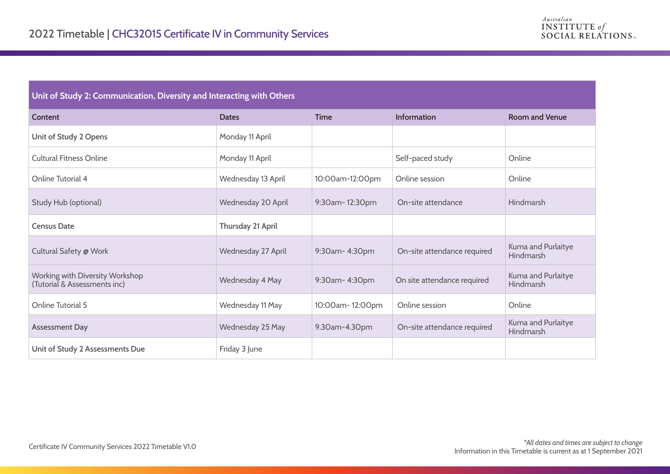## **Unit of Study 2: Communication, Diversity and Interacting with Others**

| Content                                                         | <b>Dates</b>       | <b>Time</b>     | <b>Information</b>          | <b>Room and Venue</b>           |
|-----------------------------------------------------------------|--------------------|-----------------|-----------------------------|---------------------------------|
| Unit of Study 2 Opens                                           | Monday 11 April    |                 |                             |                                 |
| <b>Cultural Fitness Online</b>                                  | Monday 11 April    |                 | Self-paced study            | Online                          |
| Online Tutorial 4                                               | Wednesday 13 April | 10:00am-12:00pm | Online session              | Online                          |
| Study Hub (optional)                                            | Wednesday 20 April | 9:30am-12:30pm  | On-site attendance          | Hindmarsh                       |
| <b>Census Date</b>                                              | Thursday 21 April  |                 |                             |                                 |
| Cultural Safety @ Work                                          | Wednesday 27 April | 9:30am-4:30pm   | On-site attendance required | Kuma and Purlaitye<br>Hindmarsh |
| Working with Diversity Workshop<br>(Tutorial & Assessments inc) | Wednesday 4 May    | 9:30am-4:30pm   | On site attendance required | Kuma and Purlaitye<br>Hindmarsh |
| <b>Online Tutorial 5</b>                                        | Wednesday 11 May   | 10:00am-12:00pm | Online session              | Online                          |
| <b>Assessment Day</b>                                           | Wednesday 25 May   | 9.30am-4.30pm   | On-site attendance required | Kuma and Purlaitye<br>Hindmarsh |
| Unit of Study 2 Assessments Due                                 | Friday 3 June      |                 |                             |                                 |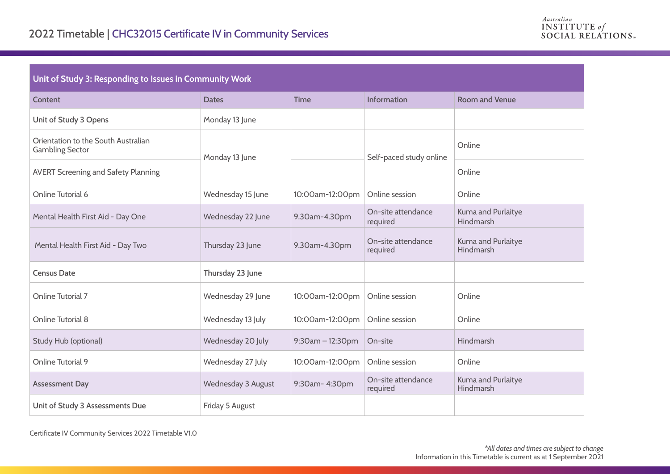#### **Unit of Study 3: Responding to Issues in Community Work**

| Content                                                       | <b>Dates</b>       | <b>Time</b>      | Information                    | <b>Room and Venue</b>           |
|---------------------------------------------------------------|--------------------|------------------|--------------------------------|---------------------------------|
| Unit of Study 3 Opens                                         | Monday 13 June     |                  |                                |                                 |
| Orientation to the South Australian<br><b>Gambling Sector</b> | Monday 13 June     |                  | Self-paced study online        | Online                          |
| <b>AVERT Screening and Safety Planning</b>                    |                    |                  |                                | Online                          |
| Online Tutorial 6                                             | Wednesday 15 June  | 10:00am-12:00pm  | Online session                 | Online                          |
| Mental Health First Aid - Day One                             | Wednesday 22 June  | 9.30am-4.30pm    | On-site attendance<br>required | Kuma and Purlaitye<br>Hindmarsh |
| Mental Health First Aid - Day Two                             | Thursday 23 June   | 9.30am-4.30pm    | On-site attendance<br>required | Kuma and Purlaitye<br>Hindmarsh |
| <b>Census Date</b>                                            | Thursday 23 June   |                  |                                |                                 |
| <b>Online Tutorial 7</b>                                      | Wednesday 29 June  | 10:00am-12:00pm  | Online session                 | Online                          |
| Online Tutorial 8                                             | Wednesday 13 July  | 10:00am-12:00pm  | Online session                 | Online                          |
| Study Hub (optional)                                          | Wednesday 20 July  | 9:30am - 12:30pm | On-site                        | <b>Hindmarsh</b>                |
| Online Tutorial 9                                             | Wednesday 27 July  | 10:00am-12:00pm  | Online session                 | Online                          |
| <b>Assessment Day</b>                                         | Wednesday 3 August | 9:30am-4:30pm    | On-site attendance<br>required | Kuma and Purlaitye<br>Hindmarsh |
| Unit of Study 3 Assessments Due                               | Friday 5 August    |                  |                                |                                 |

Certificate IV Community Services 2022 Timetable V1.0